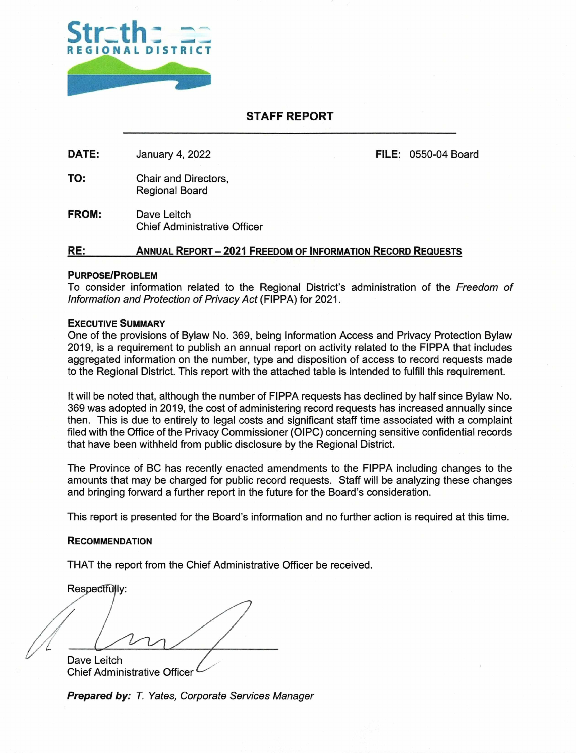

## **STAFF REPORT**

DATE: January 4, 2022 **FILE:** 0550-04 Board

TO: Chair and Directors, Regional Board

**FROM:** Dave Leitch Chief Administrative Officer

### **RE: ANNUAL REPORT — 2021 FREEDOM OF INFORMATION RECORD REQUESTS**

#### **PURPOSE/PROBLEM**

To consider information related to the Regional District's administration of the Freedom of Information and Protection of Privacy Act (FIPPA) for 2021.

#### **EXECUTIVE SUMMARY**

One of the provisions of Bylaw No. 369, being Information Access and Privacy Protection Bylaw 2019, is a requirement to publish an annual report on activity related to the FIPPA that includes aggregated information on the number, type and disposition of access to record requests made to the Regional District. This report with the attached table is intended to fulfill this requirement.

It will be noted that, although the number of FIPPA requests has declined by half since Bylaw No. 369 was adopted in 2019, the cost of administering record requests has increased annually since then. This is due to entirely to legal costs and significant staff time associated with a complaint filed with the Office of the Privacy Commissioner (OIPC) concerning sensitive confidential records that have been withheld from public disclosure by the Regional District.

The Province of BC has recently enacted amendments to the FIPPA including changes to the amounts that may be charged for public record requests. Staff will be analyzing these changes and bringing forward a further report in the future for the Board's consideration.

This report is presented for the Board's information and no further action is required at this time.

#### **RECOMMENDATION**

THAT the report from the Chief Administrative Officer be received.

Respectfully:

Dave Leitch

Chief Administrative Officer

**Prepared by:** T. Yates, Corporate Services Manager